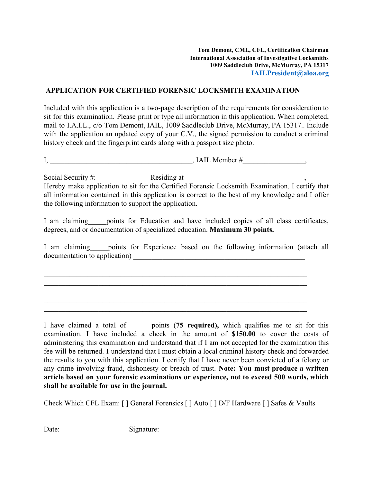## **APPLICATION FOR CERTIFIED FORENSIC LOCKSMITH EXAMINATION**

Included with this application is a two-page description of the requirements for consideration to sit for this examination. Please print or type all information in this application. When completed, mail to I.A.I.L., c/o Tom Demont, IAIL, 1009 Saddleclub Drive, McMurray, PA 15317.. Include with the application an updated copy of your C.V., the signed permission to conduct a criminal history check and the fingerprint cards along with a passport size photo.

| -<br>$\lambda$<br>HALNICIIIOLH<br>. . |  |
|---------------------------------------|--|
|---------------------------------------|--|

Social Security #: The Residing at Hereby make application to sit for the Certified Forensic Locksmith Examination. I certify that all information contained in this application is correct to the best of my knowledge and I offer the following information to support the application.

I am claiming points for Education and have included copies of all class certificates, degrees, and or documentation of specialized education. **Maximum 30 points.**

I am claiming points for Experience based on the following information (attach all documentation to application)

 $\mathcal{L}_\text{max}$  , and the contribution of the contribution of the contribution of the contribution of the contribution of the contribution of the contribution of the contribution of the contribution of the contribution of t  $\mathcal{L}_\text{max}$  , and the contribution of the contribution of the contribution of the contribution of the contribution of the contribution of the contribution of the contribution of the contribution of the contribution of t  $\mathcal{L}_\text{max}$  , and the contribution of the contribution of the contribution of the contribution of the contribution of the contribution of the contribution of the contribution of the contribution of the contribution of t  $\mathcal{L}_\text{max}$  , and the contribution of the contribution of the contribution of the contribution of the contribution of the contribution of the contribution of the contribution of the contribution of the contribution of t  $\mathcal{L}_\text{max}$  , and the contribution of the contribution of the contribution of the contribution of the contribution of the contribution of the contribution of the contribution of the contribution of the contribution of t  $\mathcal{L}_\text{max}$  , and the contribution of the contribution of the contribution of the contribution of the contribution of the contribution of the contribution of the contribution of the contribution of the contribution of t

I have claimed a total of\_\_\_\_\_\_\_points (**75 required),** which qualifies me to sit for this examination. I have included a check in the amount of **\$150.00** to cover the costs of administering this examination and understand that if I am not accepted for the examination this fee will be returned. I understand that I must obtain a local criminal history check and forwarded the results to you with this application. I certify that I have never been convicted of a felony or any crime involving fraud, dishonesty or breach of trust. **Note: You must produce a written article based on your forensic examinations or experience, not to exceed 500 words, which shall be available for use in the journal.**

Check Which CFL Exam: [ ] General Forensics [ ] Auto [ ] D/F Hardware [ ] Safes & Vaults

| $\mathbf{\bar{n}}$<br>Date: | $\overline{\phantom{a}}$<br>⊦enature<br>чилне<br>$\cdots$ |  |
|-----------------------------|-----------------------------------------------------------|--|
|-----------------------------|-----------------------------------------------------------|--|